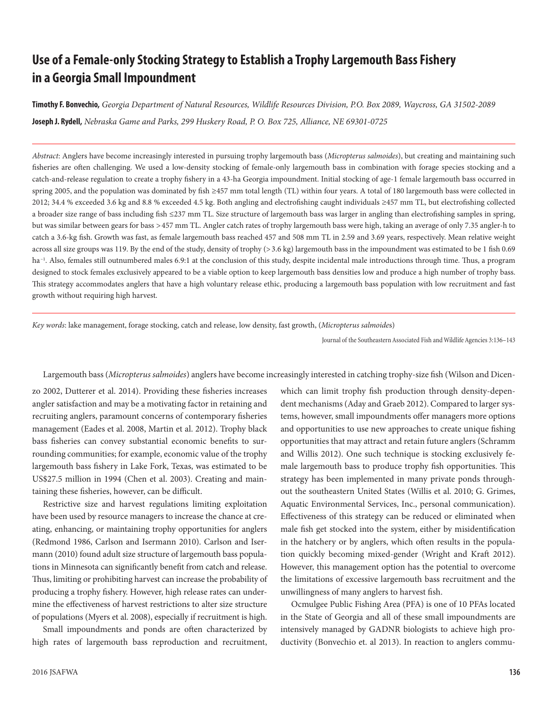# **Use of a Female-only Stocking Strategy to Establish a Trophy Largemouth Bass Fishery in a Georgia Small Impoundment**

**Timothy F. Bonvechio,** *Georgia Department of Natural Resources, Wildlife Resources Division, P.O. Box 2089, Waycross, GA 31502-2089* **Joseph J. Rydell,** *Nebraska Game and Parks, 299 Huskery Road, P. O. Box 725, Alliance, NE 69301-0725*

*Abstract*: Anglers have become increasingly interested in pursuing trophy largemouth bass (*Micropterus salmoides*), but creating and maintaining such fisheries are often challenging. We used a low-density stocking of female-only largemouth bass in combination with forage species stocking and a catch-and-release regulation to create a trophy fishery in a 43-ha Georgia impoundment. Initial stocking of age-1 female largemouth bass occurred in spring 2005, and the population was dominated by fish ≥457 mm total length (TL) within four years. A total of 180 largemouth bass were collected in 2012; 34.4 % exceeded 3.6 kg and 8.8 % exceeded 4.5 kg. Both angling and electrofishing caught individuals ≥457 mm TL, but electrofishing collected a broader size range of bass including fish ≤237 mm TL. Size structure of largemouth bass was larger in angling than electrofishing samples in spring, but was similar between gears for bass *>*457 mm TL. Angler catch rates of trophy largemouth bass were high, taking an average of only 7.35 angler-h to catch a 3.6-kg fish. Growth was fast, as female largemouth bass reached 457 and 508 mm TL in 2.59 and 3.69 years, respectively. Mean relative weight across all size groups was 119. By the end of the study, density of trophy (>3.6 kg) largemouth bass in the impoundment was estimated to be 1 fish 0.69 ha<sup>-1</sup>. Also, females still outnumbered males 6.9:1 at the conclusion of this study, despite incidental male introductions through time. Thus, a program designed to stock females exclusively appeared to be a viable option to keep largemouth bass densities low and produce a high number of trophy bass. This strategy accommodates anglers that have a high voluntary release ethic, producing a largemouth bass population with low recruitment and fast growth without requiring high harvest.

*Key words*: lake management, forage stocking, catch and release, low density, fast growth, (*Micropterus salmoide*s)

Journal of the Southeastern Associated Fish and Wildlife Agencies 3:136–143

#### Largemouth bass (*Micropterus salmoides*) anglers have become increasingly interested in catching trophy-size fish (Wilson and Dicen-

zo 2002, Dutterer et al. 2014). Providing these fisheries increases angler satisfaction and may be a motivating factor in retaining and recruiting anglers, paramount concerns of contemporary fisheries management (Eades et al. 2008, Martin et al. 2012). Trophy black bass fisheries can convey substantial economic benefits to surrounding communities; for example, economic value of the trophy largemouth bass fishery in Lake Fork, Texas, was estimated to be US\$27.5 million in 1994 (Chen et al. 2003). Creating and maintaining these fisheries, however, can be difficult.

Restrictive size and harvest regulations limiting exploitation have been used by resource managers to increase the chance at creating, enhancing, or maintaining trophy opportunities for anglers (Redmond 1986, Carlson and Isermann 2010). Carlson and Isermann (2010) found adult size structure of largemouth bass populations in Minnesota can significantly benefit from catch and release. Thus, limiting or prohibiting harvest can increase the probability of producing a trophy fishery. However, high release rates can undermine the effectiveness of harvest restrictions to alter size structure of populations (Myers et al. 2008), especially if recruitment is high.

Small impoundments and ponds are often characterized by high rates of largemouth bass reproduction and recruitment,

which can limit trophy fish production through density-dependent mechanisms (Aday and Graeb 2012). Compared to larger systems, however, small impoundments offer managers more options and opportunities to use new approaches to create unique fishing opportunities that may attract and retain future anglers (Schramm and Willis 2012). One such technique is stocking exclusively female largemouth bass to produce trophy fish opportunities. This strategy has been implemented in many private ponds throughout the southeastern United States (Willis et al. 2010; G. Grimes, Aquatic Environmental Services, Inc., personal communication). Effectiveness of this strategy can be reduced or eliminated when male fish get stocked into the system, either by misidentification in the hatchery or by anglers, which often results in the population quickly becoming mixed-gender (Wright and Kraft 2012). However, this management option has the potential to overcome the limitations of excessive largemouth bass recruitment and the unwillingness of many anglers to harvest fish.

Ocmulgee Public Fishing Area (PFA) is one of 10 PFAs located in the State of Georgia and all of these small impoundments are intensively managed by GADNR biologists to achieve high productivity (Bonvechio et. al 2013). In reaction to anglers commu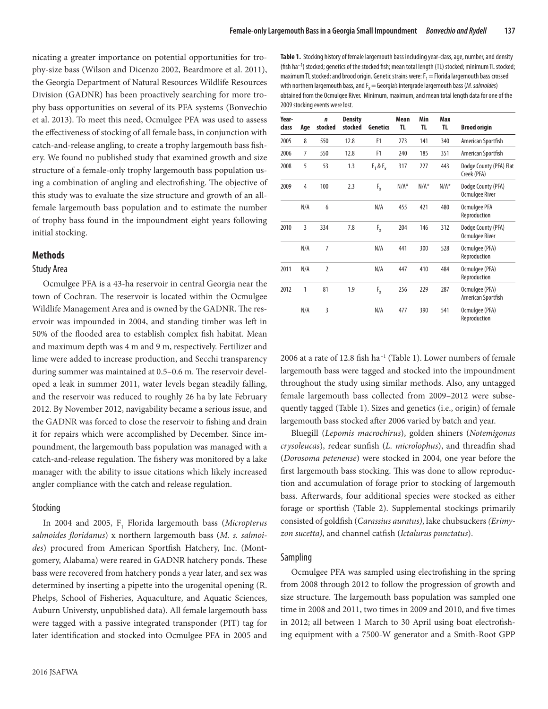nicating a greater importance on potential opportunities for trophy-size bass (Wilson and Dicenzo 2002, Beardmore et al. 2011), the Georgia Department of Natural Resources Wildlife Resources Division (GADNR) has been proactively searching for more trophy bass opportunities on several of its PFA systems (Bonvechio et al. 2013). To meet this need, Ocmulgee PFA was used to assess the effectiveness of stocking of all female bass, in conjunction with catch-and-release angling, to create a trophy largemouth bass fishery. We found no published study that examined growth and size structure of a female-only trophy largemouth bass population using a combination of angling and electrofishing. The objective of this study was to evaluate the size structure and growth of an allfemale largemouth bass population and to estimate the number of trophy bass found in the impoundment eight years following initial stocking.

## **Methods**

#### Study Area

Ocmulgee PFA is a 43-ha reservoir in central Georgia near the town of Cochran. The reservoir is located within the Ocmulgee Wildlife Management Area and is owned by the GADNR. The reservoir was impounded in 2004, and standing timber was left in 50% of the flooded area to establish complex fish habitat. Mean and maximum depth was 4 m and 9 m, respectively. Fertilizer and lime were added to increase production, and Secchi transparency during summer was maintained at 0.5–0.6 m. The reservoir developed a leak in summer 2011, water levels began steadily falling, and the reservoir was reduced to roughly 26 ha by late February 2012. By November 2012, navigability became a serious issue, and the GADNR was forced to close the reservoir to fishing and drain it for repairs which were accomplished by December. Since impoundment, the largemouth bass population was managed with a catch-and-release regulation. The fishery was monitored by a lake manager with the ability to issue citations which likely increased angler compliance with the catch and release regulation.

#### Stocking

In 2004 and 2005,  $F_1$  Florida largemouth bass (*Micropterus salmoides floridanus*) x northern largemouth bass (*M. s. salmoides*) procured from American Sportfish Hatchery, Inc. (Montgomery, Alabama) were reared in GADNR hatchery ponds. These bass were recovered from hatchery ponds a year later, and sex was determined by inserting a pipette into the urogenital opening (R. Phelps, School of Fisheries, Aquaculture, and Aquatic Sciences, Auburn Universty, unpublished data). All female largemouth bass were tagged with a passive integrated transponder (PIT) tag for later identification and stocked into Ocmulgee PFA in 2005 and

**Table 1.** Stocking history of female largemouth bass including year-class, age, number, and density (fish ha–1) stocked; genetics of the stocked fish; mean total length (TL) stocked; minimum TL stocked; maximum TL stocked; and brood origin. Genetic strains were:  $F_1$  = Florida largemouth bass crossed with northern largemouth bass, and  $F_x$  = Georgia's intergrade largemouth bass (*M. salmoides*) obtained from the Ocmulgee River. Minimum, maximum, and mean total length data for one of the 2009 stocking events were lost.

| Year-<br>class | Age | $\mathbf n$<br>stocked | <b>Density</b><br>stocked | Genetics    | Mean<br>TL. | Min<br>TL. | Max<br>TL. | <b>Brood origin</b>                         |
|----------------|-----|------------------------|---------------------------|-------------|-------------|------------|------------|---------------------------------------------|
| 2005           | 8   | 550                    | 12.8                      | F1          | 273         | 141        | 340        | American Sportfish                          |
| 2006           | 7   | 550                    | 12.8                      | F1          | 240         | 185        | 351        | American Sportfish                          |
| 2008           | 5   | 53                     | 1.3                       | $F_1 & F_2$ | 317         | 227        | 443        | Dodge County (PFA) Flat<br>Creek (PFA)      |
| 2009           | 4   | 100                    | 2.3                       | $F_x$       | $N/A^*$     | $N/A^*$    | $N/A^*$    | Dodge County (PFA)<br>Ocmulgee River        |
|                | N/A | 6                      |                           | N/A         | 455         | 421        | 480        | Ocmulgee PFA<br>Reproduction                |
| 2010           | 3   | 334                    | 7.8                       | $F_{x}$     | 204         | 146        | 312        | Dodge County (PFA)<br><b>Ocmulgee River</b> |
|                | N/A | $\overline{7}$         |                           | N/A         | 441         | 300        | 528        | Ocmulgee (PFA)<br>Reproduction              |
| 2011           | N/A | $\overline{2}$         |                           | N/A         | 447         | 410        | 484        | Ocmulgee (PFA)<br>Reproduction              |
| 2012           | 1   | 81                     | 1.9                       | $F_{x}$     | 256         | 229        | 287        | Ocmulgee (PFA)<br>American Sportfish        |
|                | N/A | 3                      |                           | N/A         | 477         | 390        | 541        | Ocmulgee (PFA)<br>Reproduction              |

2006 at a rate of 12.8 fish ha–1 (Table 1). Lower numbers of female largemouth bass were tagged and stocked into the impoundment throughout the study using similar methods. Also, any untagged female largemouth bass collected from 2009–2012 were subsequently tagged (Table 1). Sizes and genetics (i.e., origin) of female largemouth bass stocked after 2006 varied by batch and year.

Bluegill (*Lepomis macrochirus*), golden shiners (*Notemigonus crysoleucas*), redear sunfish (*L. microlophus*), and threadfin shad (*Dorosoma petenense*) were stocked in 2004, one year before the first largemouth bass stocking. This was done to allow reproduction and accumulation of forage prior to stocking of largemouth bass. Afterwards, four additional species were stocked as either forage or sportfish (Table 2). Supplemental stockings primarily consisted of goldfish (*Carassius auratus)*, lake chubsuckers *(Erimyzon sucetta)*, and channel catfish (*Ictalurus punctatus*).

#### Sampling

Ocmulgee PFA was sampled using electrofishing in the spring from 2008 through 2012 to follow the progression of growth and size structure. The largemouth bass population was sampled one time in 2008 and 2011, two times in 2009 and 2010, and five times in 2012; all between 1 March to 30 April using boat electrofishing equipment with a 7500-W generator and a Smith-Root GPP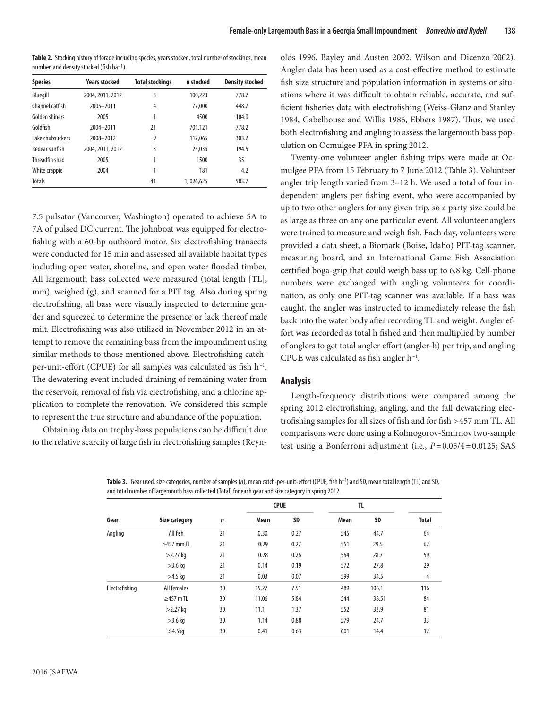Table 2. Stocking history of forage including species, years stocked, total number of stockings, mean number, and density stocked (fish ha–1).

| <b>Species</b>   | <b>Years stocked</b> | <b>Total stockings</b> | n stocked | <b>Density stocked</b> |
|------------------|----------------------|------------------------|-----------|------------------------|
| Bluegill         | 2004, 2011, 2012     | 3                      | 100,223   | 778.7                  |
| Channel catfish  | 2005-2011            | 4                      | 77,000    | 448.7                  |
| Golden shiners   | 2005                 |                        | 4500      | 104.9                  |
| Goldfish         | 2004-2011            | 21                     | 701.121   | 778.2                  |
| Lake chubsuckers | 2008-2012            | 9                      | 117.065   | 303.2                  |
| Redear sunfish   | 2004, 2011, 2012     | 3                      | 25,035    | 194.5                  |
| Threadfin shad   | 2005                 | 1                      | 1500      | 35                     |
| White crappie    | 2004                 |                        | 181       | 4.2                    |
| <b>Totals</b>    |                      | 41                     | 1,026,625 | 583.7                  |

7.5 pulsator (Vancouver, Washington) operated to achieve 5A to 7A of pulsed DC current. The johnboat was equipped for electrofishing with a 60-hp outboard motor. Six electrofishing transects were conducted for 15 min and assessed all available habitat types including open water, shoreline, and open water flooded timber. All largemouth bass collected were measured (total length [TL], mm), weighed (g), and scanned for a PIT tag. Also during spring electrofishing, all bass were visually inspected to determine gender and squeezed to determine the presence or lack thereof male milt. Electrofishing was also utilized in November 2012 in an attempt to remove the remaining bass from the impoundment using similar methods to those mentioned above. Electrofishing catchper-unit-effort (CPUE) for all samples was calculated as fish h–1. The dewatering event included draining of remaining water from the reservoir, removal of fish via electrofishing, and a chlorine application to complete the renovation. We considered this sample to represent the true structure and abundance of the population.

Obtaining data on trophy-bass populations can be difficult due to the relative scarcity of large fish in electrofishing samples (Reyn-

olds 1996, Bayley and Austen 2002, Wilson and Dicenzo 2002). Angler data has been used as a cost-effective method to estimate fish size structure and population information in systems or situations where it was difficult to obtain reliable, accurate, and sufficient fisheries data with electrofishing (Weiss-Glanz and Stanley 1984, Gabelhouse and Willis 1986, Ebbers 1987). Thus, we used both electrofishing and angling to assess the largemouth bass population on Ocmulgee PFA in spring 2012.

Twenty-one volunteer angler fishing trips were made at Ocmulgee PFA from 15 February to 7 June 2012 (Table 3). Volunteer angler trip length varied from 3–12 h. We used a total of four independent anglers per fishing event, who were accompanied by up to two other anglers for any given trip, so a party size could be as large as three on any one particular event. All volunteer anglers were trained to measure and weigh fish. Each day, volunteers were provided a data sheet, a Biomark (Boise, Idaho) PIT-tag scanner, measuring board, and an International Game Fish Association certified boga-grip that could weigh bass up to 6.8 kg. Cell-phone numbers were exchanged with angling volunteers for coordination, as only one PIT-tag scanner was available. If a bass was caught, the angler was instructed to immediately release the fish back into the water body after recording TL and weight. Angler effort was recorded as total h fished and then multiplied by number of anglers to get total angler effort (angler-h) per trip, and angling CPUE was calculated as fish angler h–1.

## **Analysis**

Length-frequency distributions were compared among the spring 2012 electrofishing, angling, and the fall dewatering electrofishing samples for all sizes of fish and for fish >457 mm TL. All comparisons were done using a Kolmogorov-Smirnov two-sample test using a Bonferroni adjustment (i.e., *P*=0.05/4=0.0125; SAS

**Table 3.** Gear used, size categories, number of samples (*n*), mean catch-per-unit-effort (CPUE, fish h–1) and SD, mean total length (TL) and SD, and total number of largemouth bass collected (Total) for each gear and size category in spring 2012.

|                | <b>Size category</b> | $\boldsymbol{n}$ | <b>CPUE</b> |                                      | TL          |       |              |  |
|----------------|----------------------|------------------|-------------|--------------------------------------|-------------|-------|--------------|--|
| Gear           |                      |                  | <b>Mean</b> | SD                                   | <b>Mean</b> | SD    | <b>Total</b> |  |
| Angling        | All fish             | 21               | 0.30        | 0.27                                 | 545         | 44.7  | 64           |  |
|                | $\geq$ 457 mm TL     | 21               | 0.29        | 0.27<br>0.28<br>0.26<br>0.14<br>0.19 | 551         | 29.5  | 62           |  |
|                | $>2.27$ kg           | 21               |             |                                      | 554         | 28.7  | 59           |  |
|                | $>3.6$ kg            | 21               |             |                                      | 572         | 27.8  | 29           |  |
|                | $>4.5$ kg            | 21               | 0.03        | 0.07                                 | 599         | 34.5  | 4            |  |
| Electrofishing | All females          | 30               | 15.27       | 7.51                                 | 489         | 106.1 | 116          |  |
|                | $\geq$ 457 m TL      | 30               | 11.06       | 5.84                                 | 544         | 38.51 | 84           |  |
|                | $>2.27$ kg           | 30               | 11.1        | 1.37                                 | 552         | 33.9  | 81           |  |
|                | $>3.6$ kg            | 30               | 1.14        | 0.88                                 | 579         | 24.7  | 33           |  |
|                | $>4.5$ kg            | 30               | 0.41        | 0.63                                 | 601         | 14.4  | 12           |  |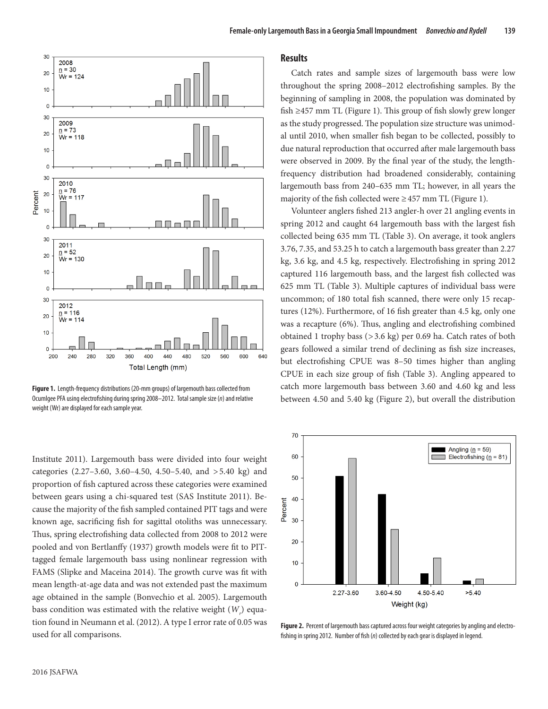

**Figure 1.** Length-frequency distributions (20-mm groups) of largemouth bass collected from Ocumlgee PFA using electrofishing during spring 2008–2012. Total sample size (*n*) and relative weight (Wr) are displayed for each sample year.

Institute 2011). Largemouth bass were divided into four weight categories (2.27–3.60, 3.60–4.50, 4.50–5.40, and >5.40 kg) and proportion of fish captured across these categories were examined between gears using a chi-squared test (SAS Institute 2011). Because the majority of the fish sampled contained PIT tags and were known age, sacrificing fish for sagittal otoliths was unnecessary. Thus, spring electrofishing data collected from 2008 to 2012 were pooled and von Bertlanffy (1937) growth models were fit to PITtagged female largemouth bass using nonlinear regression with FAMS (Slipke and Maceina 2014). The growth curve was fit with mean length-at-age data and was not extended past the maximum age obtained in the sample (Bonvechio et al. 2005). Largemouth bass condition was estimated with the relative weight (*W<sub>r</sub>*) equation found in Neumann et al. (2012). A type I error rate of 0.05 was used for all comparisons.

#### **Results**

Catch rates and sample sizes of largemouth bass were low throughout the spring 2008–2012 electrofishing samples. By the beginning of sampling in 2008, the population was dominated by fish  $\geq$ 457 mm TL (Figure 1). This group of fish slowly grew longer as the study progressed. The population size structure was unimodal until 2010, when smaller fish began to be collected, possibly to due natural reproduction that occurred after male largemouth bass were observed in 2009. By the final year of the study, the lengthfrequency distribution had broadened considerably, containing largemouth bass from 240–635 mm TL; however, in all years the majority of the fish collected were  $\geq$  457 mm TL (Figure 1).

Volunteer anglers fished 213 angler-h over 21 angling events in spring 2012 and caught 64 largemouth bass with the largest fish collected being 635 mm TL (Table 3). On average, it took anglers 3.76, 7.35, and 53.25 h to catch a largemouth bass greater than 2.27 kg, 3.6 kg, and 4.5 kg, respectively. Electrofishing in spring 2012 captured 116 largemouth bass, and the largest fish collected was 625 mm TL (Table 3). Multiple captures of individual bass were uncommon; of 180 total fish scanned, there were only 15 recaptures (12%). Furthermore, of 16 fish greater than 4.5 kg, only one was a recapture (6%). Thus, angling and electrofishing combined obtained 1 trophy bass (*>*3.6 kg) per 0.69 ha. Catch rates of both gears followed a similar trend of declining as fish size increases, but electrofishing CPUE was 8–50 times higher than angling CPUE in each size group of fish (Table 3). Angling appeared to catch more largemouth bass between 3.60 and 4.60 kg and less between 4.50 and 5.40 kg (Figure 2), but overall the distribution



**Figure 2.** Percent of largemouth bass captured across four weight categories by angling and electrofishing in spring 2012. Number of fish (*n*) collected by each gear is displayed in legend.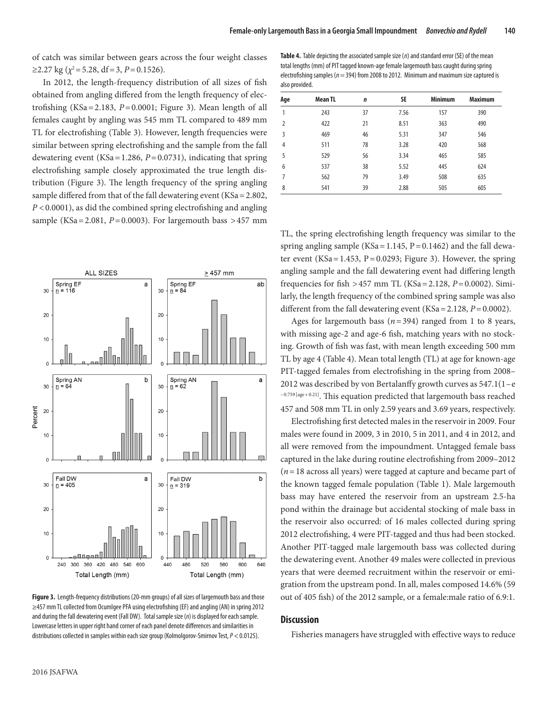**Table 4.** Table depicting the associated sample size (*n*) and standard error (SE) of the mean

of catch was similar between gears across the four weight classes  $≥2.27$  kg ( $\chi^2$  = 5.28, df = 3, P = 0.1526).

In 2012, the length-frequency distribution of all sizes of fish obtained from angling differed from the length frequency of electrofishing (KSa=2.183,  $P=0.0001$ ; Figure 3). Mean length of all females caught by angling was 545 mm TL compared to 489 mm TL for electrofishing (Table 3). However, length frequencies were similar between spring electrofishing and the sample from the fall dewatering event (KSa=1.286, *P*=0.0731), indicating that spring electrofishing sample closely approximated the true length distribution (Figure 3). The length frequency of the spring angling sample differed from that of the fall dewatering event (KSa=2.802, *P* <0.0001), as did the combined spring electrofishing and angling sample (KSa=2.081, *P*=0.0003). For largemouth bass *>*457 mm



**Figure 3.** Length-frequency distributions (20-mm groups) of all sizes of largemouth bass and those ≥457 mm TL collected from Ocumlgee PFA using electrofishing (EF) and angling (AN) in spring 2012 and during the fall dewatering event (Fall DW). Total sample size (*n*) is displayed for each sample. Lowercase letters in upper right hand corner of each panel denote differences and similarities in distributions collected in samples within each size group (Kolmolgorov-Smirnov Test, *P* <0.0125).

| Aqe            | <b>Mean TL</b> | $\mathbf n$ | SE   | <b>Minimum</b> | <b>Maximum</b> |
|----------------|----------------|-------------|------|----------------|----------------|
| 1              | 243            | 37          | 7.56 | 157            | 390            |
| $\overline{2}$ | 422            | 21          | 8.51 | 363            | 490            |
| 3              | 469            | 46          | 5.31 | 347            | 546            |
| $\overline{4}$ | 511            | 78          | 3.28 | 420            | 568            |
| 5              | 529            | 56          | 3.34 | 465            | 585            |
| 6              | 537            | 38          | 5.52 | 445            | 624            |
| 7              | 562            | 79          | 3.49 | 508            | 635            |
| 8              | 541            | 39          | 2.88 | 505            | 605            |

TL, the spring electrofishing length frequency was similar to the spring angling sample (KSa =  $1.145$ , P =  $0.1462$ ) and the fall dewater event (KSa =  $1.453$ , P =  $0.0293$ ; Figure 3). However, the spring angling sample and the fall dewatering event had differing length frequencies for fish *>*457 mm TL (KSa=2.128, *P*=0.0002). Similarly, the length frequency of the combined spring sample was also different from the fall dewatering event (KSa=2.128, *P*=0.0002).

Ages for largemouth bass  $(n=394)$  ranged from 1 to 8 years, with missing age-2 and age-6 fish, matching years with no stocking. Growth of fish was fast, with mean length exceeding 500 mm TL by age 4 (Table 4). Mean total length (TL) at age for known-age PIT-tagged females from electrofishing in the spring from 2008– 2012 was described by von Bertalanffy growth curves as 547.1(1–e –0.759 [age+0.21]. This equation predicted that largemouth bass reached 457 and 508 mm TL in only 2.59 years and 3.69 years, respectively.

Electrofishing first detected males in the reservoir in 2009. Four males were found in 2009, 3 in 2010, 5 in 2011, and 4 in 2012, and all were removed from the impoundment. Untagged female bass captured in the lake during routine electrofishing from 2009–2012 (*n*=18 across all years) were tagged at capture and became part of the known tagged female population (Table 1). Male largemouth bass may have entered the reservoir from an upstream 2.5-ha pond within the drainage but accidental stocking of male bass in the reservoir also occurred: of 16 males collected during spring 2012 electrofishing, 4 were PIT-tagged and thus had been stocked. Another PIT-tagged male largemouth bass was collected during the dewatering event. Another 49 males were collected in previous years that were deemed recruitment within the reservoir or emigration from the upstream pond. In all, males composed 14.6% (59 out of 405 fish) of the 2012 sample, or a female:male ratio of 6.9:1.

## **Discussion**

Fisheries managers have struggled with effective ways to reduce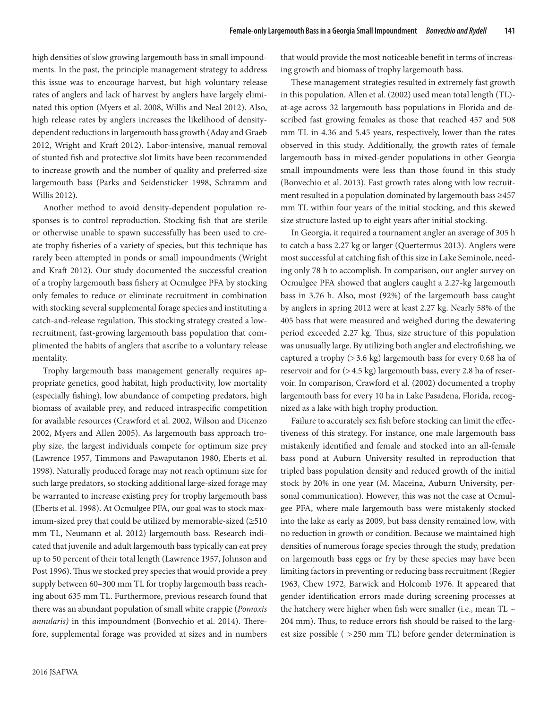high densities of slow growing largemouth bass in small impoundments. In the past, the principle management strategy to address this issue was to encourage harvest, but high voluntary release rates of anglers and lack of harvest by anglers have largely eliminated this option (Myers et al. 2008, Willis and Neal 2012). Also, high release rates by anglers increases the likelihood of densitydependent reductions in largemouth bass growth (Aday and Graeb 2012, Wright and Kraft 2012). Labor-intensive, manual removal of stunted fish and protective slot limits have been recommended to increase growth and the number of quality and preferred-size largemouth bass (Parks and Seidensticker 1998, Schramm and Willis 2012).

Another method to avoid density-dependent population responses is to control reproduction. Stocking fish that are sterile or otherwise unable to spawn successfully has been used to create trophy fisheries of a variety of species, but this technique has rarely been attempted in ponds or small impoundments (Wright and Kraft 2012). Our study documented the successful creation of a trophy largemouth bass fishery at Ocmulgee PFA by stocking only females to reduce or eliminate recruitment in combination with stocking several supplemental forage species and instituting a catch-and-release regulation. This stocking strategy created a lowrecruitment, fast-growing largemouth bass population that complimented the habits of anglers that ascribe to a voluntary release mentality.

Trophy largemouth bass management generally requires appropriate genetics, good habitat, high productivity, low mortality (especially fishing), low abundance of competing predators, high biomass of available prey, and reduced intraspecific competition for available resources (Crawford et al. 2002, Wilson and Dicenzo 2002, Myers and Allen 2005). As largemouth bass approach trophy size, the largest individuals compete for optimum size prey (Lawrence 1957, Timmons and Pawaputanon 1980, Eberts et al. 1998). Naturally produced forage may not reach optimum size for such large predators, so stocking additional large-sized forage may be warranted to increase existing prey for trophy largemouth bass (Eberts et al. 1998). At Ocmulgee PFA, our goal was to stock maximum-sized prey that could be utilized by memorable-sized (≥510 mm TL, Neumann et al. 2012) largemouth bass. Research indicated that juvenile and adult largemouth bass typically can eat prey up to 50 percent of their total length (Lawrence 1957, Johnson and Post 1996). Thus we stocked prey species that would provide a prey supply between 60–300 mm TL for trophy largemouth bass reaching about 635 mm TL. Furthermore, previous research found that there was an abundant population of small white crappie (*Pomoxis annularis)* in this impoundment (Bonvechio et al. 2014). Therefore, supplemental forage was provided at sizes and in numbers

that would provide the most noticeable benefit in terms of increasing growth and biomass of trophy largemouth bass.

These management strategies resulted in extremely fast growth in this population. Allen et al. (2002) used mean total length (TL) at-age across 32 largemouth bass populations in Florida and described fast growing females as those that reached 457 and 508 mm TL in 4.36 and 5.45 years, respectively, lower than the rates observed in this study. Additionally, the growth rates of female largemouth bass in mixed-gender populations in other Georgia small impoundments were less than those found in this study (Bonvechio et al. 2013). Fast growth rates along with low recruitment resulted in a population dominated by largemouth bass ≥457 mm TL within four years of the initial stocking, and this skewed size structure lasted up to eight years after initial stocking.

In Georgia, it required a tournament angler an average of 305 h to catch a bass 2.27 kg or larger (Quertermus 2013). Anglers were most successful at catching fish of this size in Lake Seminole, needing only 78 h to accomplish. In comparison, our angler survey on Ocmulgee PFA showed that anglers caught a 2.27-kg largemouth bass in 3.76 h. Also, most (92%) of the largemouth bass caught by anglers in spring 2012 were at least 2.27 kg. Nearly 58% of the 405 bass that were measured and weighed during the dewatering period exceeded 2.27 kg. Thus, size structure of this population was unusually large. By utilizing both angler and electrofishing, we captured a trophy (>3.6 kg) largemouth bass for every 0.68 ha of reservoir and for (>4.5 kg) largemouth bass, every 2.8 ha of reservoir. In comparison, Crawford et al. (2002) documented a trophy largemouth bass for every 10 ha in Lake Pasadena, Florida, recognized as a lake with high trophy production.

Failure to accurately sex fish before stocking can limit the effectiveness of this strategy. For instance, one male largemouth bass mistakenly identified and female and stocked into an all-female bass pond at Auburn University resulted in reproduction that tripled bass population density and reduced growth of the initial stock by 20% in one year (M. Maceina, Auburn University, personal communication). However, this was not the case at Ocmulgee PFA, where male largemouth bass were mistakenly stocked into the lake as early as 2009, but bass density remained low, with no reduction in growth or condition. Because we maintained high densities of numerous forage species through the study, predation on largemouth bass eggs or fry by these species may have been limiting factors in preventing or reducing bass recruitment (Regier 1963, Chew 1972, Barwick and Holcomb 1976. It appeared that gender identification errors made during screening processes at the hatchery were higher when fish were smaller (i.e., mean TL  $\sim$ 204 mm). Thus, to reduce errors fish should be raised to the largest size possible ( *>*250 mm TL) before gender determination is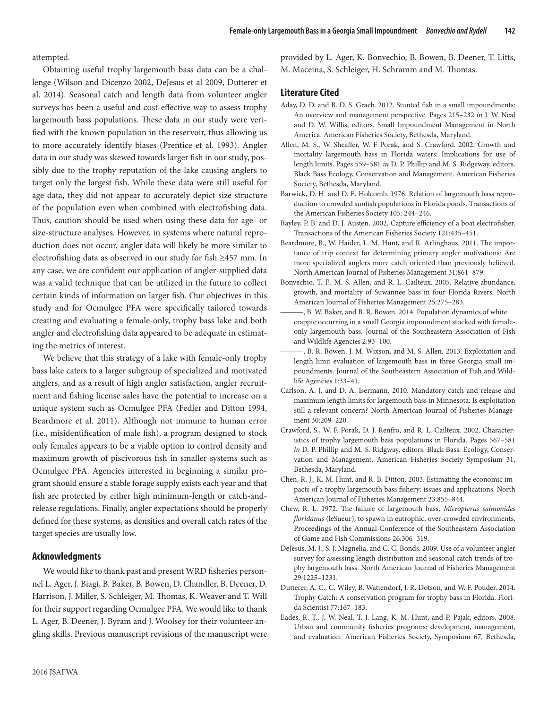attempted.

Obtaining useful trophy largemouth bass data can be a challenge (Wilson and Dicenzo 2002, DeJesus et al 2009, Dutterer et al. 2014). Seasonal catch and length data from volunteer angler surveys has been a useful and cost-effective way to assess trophy largemouth bass populations. These data in our study were verified with the known population in the reservoir, thus allowing us to more accurately identify biases (Prentice et al. 1993). Angler data in our study was skewed towards larger fish in our study, possibly due to the trophy reputation of the lake causing anglers to target only the largest fish. While these data were still useful for age data, they did not appear to accurately depict size structure of the population even when combined with electrofishing data. Thus, caution should be used when using these data for age- or size-structure analyses. However, in systems where natural reproduction does not occur, angler data will likely be more similar to electrofishing data as observed in our study for fish ≥457 mm. In any case, we are confident our application of angler-supplied data was a valid technique that can be utilized in the future to collect certain kinds of information on larger fish. Our objectives in this study and for Ocmulgee PFA were specifically tailored towards creating and evaluating a female-only, trophy bass lake and both angler and electrofishing data appeared to be adequate in estimating the metrics of interest.

We believe that this strategy of a lake with female-only trophy bass lake caters to a larger subgroup of specialized and motivated anglers, and as a result of high angler satisfaction, angler recruitment and fishing license sales have the potential to increase on a unique system such as Ocmulgee PFA (Fedler and Ditton 1994, Beardmore et al. 2011). Although not immune to human error (i.e., misidentification of male fish), a program designed to stock only females appears to be a viable option to control density and maximum growth of piscivorous fish in smaller systems such as Ocmulgee PFA. Agencies interested in beginning a similar program should ensure a stable forage supply exists each year and that fish are protected by either high minimum-length or catch-andrelease regulations. Finally, angler expectations should be properly defined for these systems, as densities and overall catch rates of the target species are usually low.

## **Acknowledgments**

We would like to thank past and present WRD fisheries personnel L. Ager, J. Biagi, B. Baker, B. Bowen, D. Chandler, B. Deener, D. Harrison, J. Miller, S. Schleiger, M. Thomas, K. Weaver and T. Will for their support regarding Ocmulgee PFA. We would like to thank L. Ager, B. Deener, J. Byram and J. Woolsey for their volunteer angling skills. Previous manuscript revisions of the manuscript were provided by L. Ager, K. Bonvechio, B. Bowen, B. Deener, T. Litts, M. Maceina, S. Schleiger, H. Schramm and M. Thomas.

## **Literature Cited**

- Aday, D. D. and B. D. S. Graeb. 2012. Stunted fish in a small impoundments: An overview and management perspective. Pages 215–232 *in* J. W. Neal and D. W. Willis, editors. Small Impoundment Management in North America. American Fisheries Society, Bethesda, Maryland.
- Allen, M. S., W. Sheaffer, W. F Porak, and S. Crawford. 2002. Growth and mortality largemouth bass in Florida waters: Implications for use of length limits. Pages 559–581 *in* D. P. Phillip and M. S. Ridgeway, editors. Black Bass Ecology, Conservation and Management. American Fisheries Society, Bethesda, Maryland.
- Barwick, D. H. and D. E. Holcomb. 1976. Relation of largemouth bass reproduction to crowded sunfish populations in Florida ponds. Transactions of the American Fisheries Society 105: 244–246.
- Bayley, P. B. and D. J. Austen. 2002. Capture efficiency of a boat electrofisher. Transactions of the American Fisheries Society 121:435–451.
- Beardmore, B., W. Haider, L. M. Hunt, and R. Arlinghaus. 2011. The importance of trip context for determining primary angler motivations: Are more specialized anglers more catch oriented than previously believed. North American Journal of Fisheries Management 31:861–879.
- Bonvechio, T. F., M. S. Allen, and R. L. Cailteux. 2005. Relative abundance, growth, and mortality of Suwannee bass in four Florida Rivers. North American Journal of Fisheries Management 25:275–283.
- ———, B. W. Baker, and B. R. Bowen. 2014. Population dynamics of white crappie occurring in a small Georgia impoundment stocked with femaleonly largemouth bass. Journal of the Southeastern Association of Fish and Wildlife Agencies 2:93–100.
- ———, B. R. Bowen, J. M. Wixson, and M. S. Allen. 2013. Exploitation and length limit evaluation of largemouth bass in three Georgia small impoundments. Journal of the Southeastern Association of Fish and Wildlife Agencies 1:33–41.
- Carlson, A. J. and D. A. Isermann. 2010. Mandatory catch and release and maximum length limits for largemouth bass in Minnesota: Is exploitation still a relevant concern? North American Journal of Fisheries Management 30:209–220.
- Crawford, S., W. F. Porak, D. J. Renfro, and R. L. Cailteux. 2002. Characteristics of trophy largemouth bass populations in Florida. Pages 567–581 *in* D. P. Phillip and M. S. Ridgway, editors. Black Bass: Ecology, Conservation and Management. American Fisheries Society Symposium 31, Bethesda, Maryland.
- Chen, R. J., K. M. Hunt, and R. B. Ditton. 2003. Estimating the economic impacts of a trophy largemouth bass fishery: issues and applications. North American Journal of Fisheries Management 23:855–844.
- Chew, R. L. 1972. The failure of largemouth bass, *Micropterus salmonides floridanus* (leSueur), to spawn in eutrophic, over-crowded environments. Proceedings of the Annual Conference of the Southeastern Association of Game and Fish Commissions 26:306–319.
- DeJesus, M. J., S. J. Magnelia, and C. C. Bonds. 2009. Use of a volunteer angler survey for assessing length distribution and seasonal catch trends of trophy largemouth bass. North American Journal of Fisheries Management 29:1225–1231.
- Dutterer, A. C., C. Wiley, B. Wattendorf, J. R. Dotson, and W. F. Pouder. 2014. Trophy Catch: A conservation program for trophy bass in Florida. Florida Scientist 77:167–183.
- Eades, R. T., J. W. Neal, T. J. Lang, K. M. Hunt, and P. Pajak, editors. 2008. Urban and community fisheries programs: development, management, and evaluation. American Fisheries Society, Symposium 67, Bethesda,